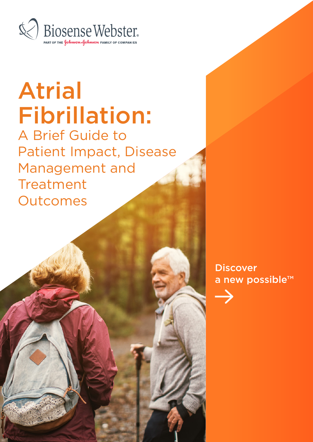

# Atrial Fibrillation:

A Brief Guide to Patient Impact, Disease Management and Treatment **Outcomes** 

> **Discover** a new possible™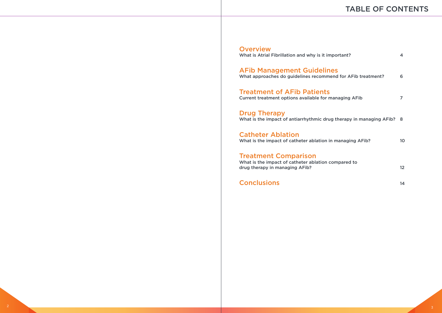#### **Overview**

What is Atrial Fibrillation and why is it imper

## TABLE OF CONTENTS

| ortant?                            | 4  |
|------------------------------------|----|
| <b>S</b><br>nd for AFib treatment? | 6  |
| anaging AFib                       | 7  |
| therapy in managing AFib? 8        |    |
| managing AFib?                     | 10 |
| mpared to                          | 12 |
|                                    | 14 |

AFib Management Guidelines What approaches do guidelines recommend for AFib treatment? 6

Treatment of AFib Patients Current treatment options available for ma

Drug Therapy What is the impact of antiarrhythmic drug therapy in managing AFib? 8

Catheter Ablation What is the impact of catheter ablation in

Treatment Comparison

What is the impact of catheter ablation com drug therapy in managing AFib?

**Conclusions**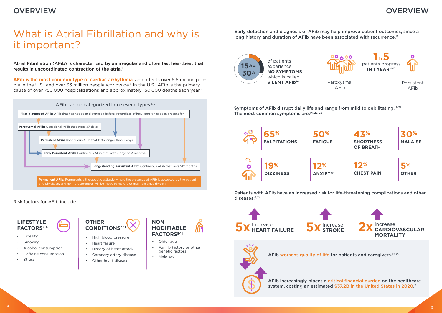Risk factors for AFib include:



- Obesity
- **Smoking**
- Alcohol consumption
- Caffeine consumption
- **Stress**

Early detection and diagnosis of AFib may help improve patient outcomes, since a long history and duration of AFib have been associated with recurrence.<sup>12</sup>

- **CONDITIONS7-11**
- High blood pressure • Heart failure
- History of heart attack
- Coronary artery disease
- Other heart disease
- **NON-MODIFIABLE FACTORS5-11**
- Older age
- Family history or other genetic factors
- Male sex

#### **LIFESTYLE FACTORS5-6**



## What is Atrial Fibrillation and why is it important?

Atrial Fibrillation (AFib) is characterized by an irregular and often fast heartbeat that results in uncoordinated contraction of the atria.1

**AFib is the most common type of cardiac arrhythmia**, and affects over 5.5 million people in the U.S., and over 33 million people worldwide.2 In the U.S., AFib is the primary cause of over 750,000 hospitalizations and approximately 150,000 deaths each year.4



AFib increasingly places a critical financial burden on the healthcare system, costing an estimated \$37.2B in the United States in 2020. 2

**NO SYMPTOMS** 

Symptoms of AFib disrupt daily life and range from mild to debilitating.<sup>19-21</sup> The most common symptoms are:<sup>14, 22, 23</sup>









Persistent AFib



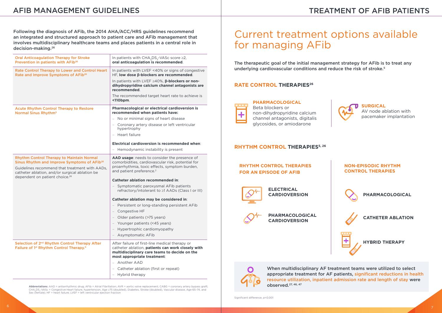Following the diagnosis of AFib, the 2014 AHA/ACC/HRS guidelines recommend an integrated and structured approach to patient care and AFib management that involves multidisciplinary healthcare teams and places patients in a central role in decision-making.26

**Abbreviations**: AAD = antiarrhythmic drug; AFib = Atrial Fibrillation; AVR = aortic valve replacement; CABG = coronary artery bypass graft; CHA2DS2-VASc = Congestive Heart failure, hypertension, Age ≥75 (doubled), Diabetes, Stroke (doubled), Vascular disease, Age 65–74, and Sex (female);  $HF =$  heart failure; LVEF = left ventricular ejection fraction

| <b>Oral Anticoagulation Therapy for Stroke</b><br>Prevention in patients with AFib <sup>26</sup>                                                                                                                                                              | In patients with $CHA2DS2-VASC score \geq 2,$<br>oral anticoagulation is recommended.                                                                                                                                                                                                                                                                                                                                                                                                                                                                              |
|---------------------------------------------------------------------------------------------------------------------------------------------------------------------------------------------------------------------------------------------------------------|--------------------------------------------------------------------------------------------------------------------------------------------------------------------------------------------------------------------------------------------------------------------------------------------------------------------------------------------------------------------------------------------------------------------------------------------------------------------------------------------------------------------------------------------------------------------|
| Rate Control Therapy to Lower and Control Heart<br>Rate and Improve Symptoms of AFib <sup>26</sup>                                                                                                                                                            | In patients with LVEF <40% or signs of congestive<br>HF, low dose ß-blockers are recommended.<br>In patients with LVEF $\geq$ 40%, $\beta$ -blockers or non-<br>dihydropyridine calcium channel antagonists are<br>recommended.<br>The recommended target heart rate to achieve is<br><110bpm.                                                                                                                                                                                                                                                                     |
| <b>Acute Rhythm Control Therapy to Restore</b><br>Normal Sinus Rhythm <sup>5</sup>                                                                                                                                                                            | Pharmacological or electrical cardioversion is<br>recommended when patients have:<br>- No or minimal signs of heart disease<br>- Coronary artery disease or left ventricular<br>hypertrophy<br>- Heart failure<br><b>Electrical cardioversion is recommended when:</b><br>- Hemodynamic instability is present                                                                                                                                                                                                                                                     |
| <b>Rhythm Control Therapy to Maintain Normal</b><br>Sinus Rhythm and Improve Symptoms of AFib <sup>26</sup><br>Guidelines recommend that treatment with AADs,<br>catheter ablation, and/or surgical ablation be<br>dependent on patient choice. <sup>26</sup> | AAD usage: needs to consider the presence of<br>comorbidities, cardiovascular risk, potential for<br>proarrhythmia, toxic effects, symptom burden,<br>and patient preference. <sup>2</sup><br><b>Catheter ablation recommended in:</b><br>Symptomatic paroxysmal AFib patients<br>refractory/intolerant to ≥1 AADs (Class I or III)<br>Catheter ablation may be considered in:<br>Persistent or long-standing persistent AFib<br>Congestive HF<br>- Older patients (>75 years)<br>Younger patients (<45 years)<br>Hypertrophic cardiomyopathy<br>Asymptomatic AFib |
| Selection of 2 <sup>nd</sup> Rhythm Control Therapy After<br>Failure of 1 <sup>st</sup> Rhythm Control Therapy. <sup>5</sup>                                                                                                                                  | After failure of first-line medical therapy or<br>catheter ablation, patients can work closely with<br>multidisciplinary care teams to decide on the<br>most appropriate treatment:<br>Another AAD<br>- Catheter ablation (first or repeat)<br>Hybrid therapy<br>$\overline{\phantom{a}}$                                                                                                                                                                                                                                                                          |

The therapeutic goal of the initial management strategy for AFib is to treat any underlying cardiovascular conditions and reduce the risk of stroke.<sup>5</sup>

#### **RATE CONTROL THERAPIES<sup>26</sup>**



## Current treatment options available for managing AFib

When multidisciplinary AF treatment teams were utilized to select appropriate treatment for AF patients, significant reductions in health resource utilization, inpatient admission rate and length of stay were observed.27, 46, 47

**PHARMACOLOGICAL**  Beta blockers or non-dihydropyridine calcium channel antagonists, digitalis glycosides, or amiodarone

**SURGICAL**  AV node ablation with pacemaker implantation

## TREATMENT OF AFIB PATIENTS



#### **RHYTHM CONTROL THERAPIES5, 26**

#### **RHYTHM CONTROL THERAPIES FOR AN EPISODE OF AFIB**



#### **NON-EPISODIC RHYTHM CONTROL THERAPIES**



**PHARMACOLOGICAL CARDIOVERSION**



**PHARMACOLOGICAL**





**ELECTRICAL CARDIOVERSION**



**CATHETER ABLATION**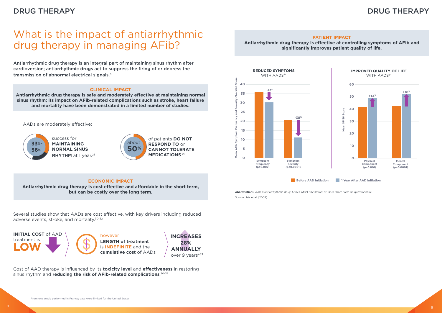## What is the impact of antiarrhythmic drug therapy in managing AFib?

Antiarrhythmic drug therapy is an integral part of maintaining sinus rhythm after cardioversion; antiarrhythmic drugs act to suppress the firing of or depress the transmission of abnormal electrical signals.5

#### **CLINICAL IMPACT**

**Antiarrhythmic drug therapy is safe and moderately effective at maintaining normal sinus rhythm; its impact on AFib-related complications such as stroke, heart failure and mortality have been demonstrated in a limited number of studies.**



of patients **DO NOT RESPOND TO** or **CANNOT TOLERATE MEDICATIONS**. 29

AADs are moderately effective:



success for **MAINTAINING NORMAL SINUS RHYTHM** at 1 year.28

Several studies show that AADs are cost effective, with key drivers including reduced adverse events, stroke, and mortality.<sup>30-32</sup>

**Abbreviations:** AAD = antiarrhythmic drug; AFib = Atrial Fibrillation; SF-36 = Short Form 36 questionnaire.

**cumulative cost** of AADs veer 9 years\*<sup>33</sup> **INCREASES 28% ANNUALLY**

#### **PATIENT IMPACT**

**Antiarrhythmic drug therapy is effective at controlling symptoms of AFib and significantly improves patient quality of life.**

Source: Jais et al. (2008)





**INITIAL COST** of AAD treatment is **LOW**



Cost of AAD therapy is influenced by its **toxicity level** and **effectiveness** in restoring sinus rhythm and **reducing the risk of AFib-related complications**. 30-32

#### **ECONOMIC IMPACT**

**Antiarrhythmic drug therapy is cost effective and affordable in the short term, but can be costly over the long term.**

### DRUG THERAPY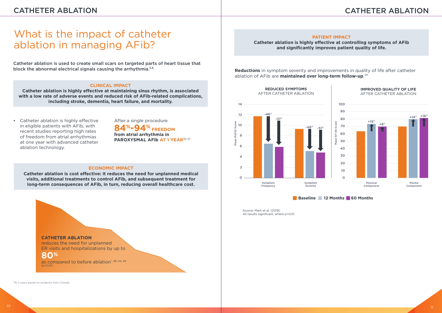Catheter ablation is used to create small scars on targeted parts of heart tissue that block the abnormal electrical signals causing the arrhythmia.<sup>5,6</sup>

## What is the impact of catheter ablation in managing AFib?

• Catheter ablation is highly effective in eligible patients with AFib, with recent studies reporting high rates of freedom from atrial arrhythmias at one year with advanced catheter ablation technology.

**84%-94% FREEDOM from atrial arrhythmia in** PAROXYSMAL AFIb AT 1 YEAR<sup>35-37</sup>

#### **CLINICAL IMPACT**

**Catheter ablation is highly effective at maintaining sinus rhythm, is associated with a low rate of adverse events and reduced risk of AFib-related complications, including stroke, dementia, heart failure, and mortality.**

### CATHETER ABLATION

After a single procedure

**Reductions** in symptom severity and improvements in quality of life after catheter ablation of AFib are **maintained over long-term follow-up**. 39

#### **PATIENT IMPACT**

**Catheter ablation is highly effective at controlling symptoms of AFib and significantly improves patient quality of life.**



Source: Mark et al. (2019) All results significant, where p<0.01

#### **ECONOMIC IMPACT**

**Catheter ablation is cost effective: it reduces the need for unplanned medical visits, additional treatments to control AFib, and subsequent treatment for long-term consequences of AFib, in turn, reducing overall healthcare cost.**

#### **CATHETER ABLATION**

reduces the need for unplanned ER visits and hospitalizations by up to

### **80%**

as compared to before ablation\*, 38, 44, 45  $(p < 0.05)$ 

## CATHETER ABLATION

\*At 2 years based on evidence from Canada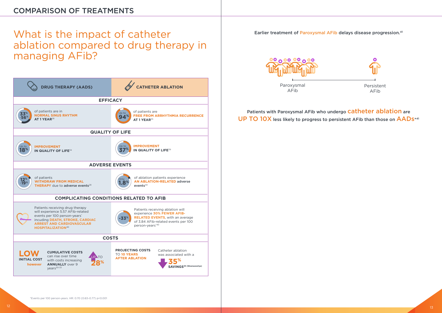### COMPARISON OF TREATMENTS

## What is the impact of catheter ablation compared to drug therapy in managing AFib?





Earlier treatment of Paroxysmal AFib delays disease progression.<sup>41</sup>



Paroxysmal AFib

UP TO 10X less likely to progress to persistent AFib than those on AADS\*41

Persistent AFib

## Patients with Paroxysmal AFib who undergo **Catheter ablation** are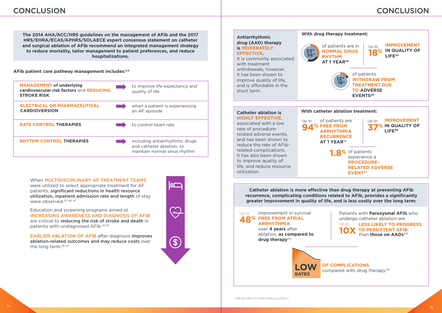#### **AFib patient care pathway management includes:**5,6

**The 2014 AHA/ACC/HRS guidelines on the management of AFib and the 2017 HRS/EHRA/ECAS/APHRS/SOLAECE expert consensus statement on catheter and surgical ablation of AFib recommend an integrated management strategy to reduce mortality, tailor management to patient preferences, and reduce hospitalizations.**

### CONCLUSION



over **4 years** after ablation, **as compared to**  drug therapy<sup>44</sup>



#### **OF COMPLICATIONS**

compared with drug therapy.44

**Catheter ablation is more effective than drug therapy at preventing AFib** 

**94**<sup>%</sup> FREE FROM Up to

improvement in survival **48% FREE FROM ATRIAL ARRHYTHMIA**  Up to

When MULTIDISCIPLINARY AF TREATMENT TEAMS were utilized to select appropriate treatment for AF patients, significant reductions in health resource utilization, inpatient admission rate and length of stay were observed.<sup>27, 46, 47</sup>

#### **Antiarrhythmic drug (AAD) therapy is MODERATELY EFFECTIVE.**

It is commonly associated with treatment withdrawals, however, it has been shown to improve quality of life, and is affordable in the short term.



## **33%** -**56%**

#### **Catheter ablation is HIGHLY EFFECTIVE**, associated with a low rate of procedurerelated adverse events, and has been shown to reduce the rate of AFib-

related complications. It has also been shown to improve quality of life, and reduce resource

utilization.

EARLIER ABLATION OF AFIB after diagnosis improves ablation-related outcomes and may reduce costs over the long term.26, 41



Education and screening programs aimed at INCREASING AWARENESS AND DIAGNOSIS OF AFIB are critical to reducing the risk of stroke and death in patients with undiagnosed AFib.42,43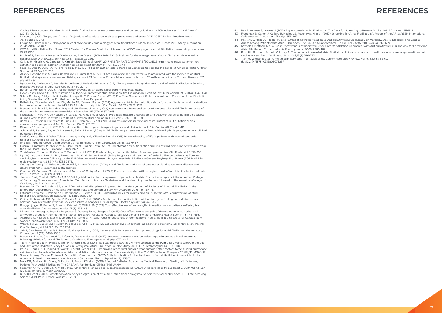- 1. Copley, Dianna Jo, and Kathleen M. Hill. "Atrial fibrillation: a review of treatments and current guidelines." AACN Advanced Critical Care 27.1 (2016): 120-128.
- 2. Khavjou, Olga, D. Phelps, and A. Leib. "Projections of cardiovascular disease prevalence and costs: 2015–2035." Dallas: American Heart Association (2016).
- 3. Chugh SS, Havmoeller R, Narayanan K, et al. Worldwide epidemiology of atrial fibrillation: a Global Burden of Disease 2010 Study. Circulation. 2014;129(8):837-847.
- 4. CDC Atrial Fibrillation Fact Sheet, 2017 Centers for Disease Control and Prevention (CDC) webpage on Atrial Fibrillation. www.cdc.gov accessed 07.29.2020.
- 5. Kirchhof P, Benussi S, Kotecha D, Ahlsson A, Atar D et al. (2016) 2016 ESC Guidelines for the management of atrial fibrillation developed in collaboration with EACTS. Eur Heart J 37 (38): 2893-2962.
- 6. Calkins H, Hindricks G, Cappato R, Kim YH, Saad EB et al. (2017) 2017 HRS/EHRA/ECAS/APHRS/SOLAECE expert consensus statement on catheter and surgical ablation of atrial fibrillation. Heart Rhythm 14 (10): e275-e444.
- 7. Naser N, Dilic M, Durak A, Kulic M, Pepic E et al. (2017) The Impact of Risk Factors and Comorbidities on The Incidence of Atrial Fibrillation. Mater Sociomed 29 (4): 231-236.
- 8. Allan V, Honarbakhsh S, Casas JP, Wallace J, Hunter R et al. (2017) Are cardiovascular risk factors also associated with the incidence of atrial fibrillation? A systematic review and field synopsis of 23 factors in 32 population-based cohorts of 20 million participants. Thromb Haemost 117 (5): 837-850.
- 9. Nystrom PK, Carlsson AC, Leander K, de Faire U, Hellenius ML et al. (2015) Obesity, metabolic syndrome and risk of atrial fibrillation: a Swedish, prospective cohort study. PLoS One 10 (5): e0127111.
- 10. Boriani G, Proietti M (2017) Atrial fibrillation prevention: an appraisal of current evidence. Heart.
- 11. Lloyd-Jones, Donald M., et al. "Lifetime risk for development of atrial fibrillation: the Framingham Heart Study." Circulation110.9 (2004): 1042-1046 12. Scherr D, Khairy P, Miyazaki S, Aurillac-Lavignolle V, Pascale P et al. (2015) Five-Year Outcome of Catheter Ablation of Persistent Atrial Fibrillation Using Termination of Atrial Fibrillation as a Procedural Endpoint.
- 13. Pathak RK, Middeldorp ME, Lau DH, Mehta AB, Mahajan R et al. (2014) Aggressive risk factor reduction study for atrial fibrillation and implications for the outcome of ablation: the ARREST-AF cohort study. J Am Coll Cardiol 64 (21): 2222-2231.
- 14. Rienstra M, Lubitz SA, Mahida S, Magnani JW, Fontes JD et al. (2012) Symptoms and functional status of patients with atrial fibrillation: state of the art and future research opportunities. Circulation 125 (23): 2933-2943.
- 15. Nieuwlaat R, Prins MH, Le Heuzey JY, Vardas PE, Aliot E et al. (2008) Prognosis, disease progression, and treatment of atrial fibrillation patients during 1 year: follow-up of the Euro Heart Survey on atrial fibrillation. Eur Heart J 29 (9): 1181-1189.
- 16. de Vos CB, Pisters R, Nieuwlaat R, Prins MH, Tieleman RG et al. (2010) Progression from paroxysmal to persistent atrial fibrillation clinical correlates and prognosis. J Am Coll Cardiol 55 (8): 725-731.
- 17. Dilaveris PE, Kennedy HL (2017) Silent atrial fibrillation: epidemiology, diagnosis, and clinical impact. Clin Cardiol 40 (6): 413-418.
- 18. Schnabel R, Pecen L, Engler D, Lucerna M, Sellal JM et al. (2018) Atrial fibrillation patterns are associated with arrhythmia progression and clinical outcomes. Heart.
- 19. Nazli C, Kahya Eren N, Yakar Tuluce S, Kocagra Yagiz IG, Kilicaslan B et al. (2016) Impaired quality of life in patients with intermittent atrial fibrillation. Anatol J Cardiol 16 (4): 250-255.
- 20. Rho RW, Page RL (2005) Asymptomatic atrial fibrillation. Prog Cardiovasc Dis 48 (2): 79-87.
- 21. Guerra F, Brambatti M, Nieuwlaat R, Marcucci M, Dudink E et al. (2017) Symptomatic atrial fibrillation and risk of cardiovascular events: data from the Euro Heart Survey. Europace 19 (12): 1922- 1929.
- 22. Zoni-Berisso M, Lercari F, Carazza T, Domenicucci S (2014) Epidemiology of atrial fibrillation: European perspective. Clin Epidemiol 6 213-220.
- 23. Lip GY, Laroche C, Ioachim PM, Rasmussen LH, Vitali-Serdoz L et al. (2014) Prognosis and treatment of atrial fibrillation patients by European cardiologists: one year follow-up of the EURObservational Research Programme-Atrial Fibrillation General Registry Pilot Phase (EORP-AF Pilot registry). Eur Heart J 35 (47): 3365-3376.
- 24. Odutayo A, Wong CX, Hsiao AJ, Hopewell S, Altman DG et al. (2016) Atrial fibrillation and risks of cardiovascular disease, renal disease, and death: systematic review and meta-analysis.
- 25. Coleman CI, Coleman SM, Vanderpoel J, Nelson W, Colby JA et al. (2012) Factors associated with 'caregiver burden' for atrial fibrillation patients. Int J Clin Pract 66 (10): 984-990.
- 26. January, Craig T., et al. "2014 AHA/ACC/HRS guideline for the management of patients with atrial fibrillation: a report of the American College of Cardiology/American Heart Association Task Force on Practice Guidelines and the Heart Rhythm Society." Journal of the American College of Cardiology 64.21 (2014): e1-e76.
- 27. Ptaszek LM, White B, Lubitz SA, et al. Effect of a Multidisciplinary Approach for the Management of Patients With Atrial Fibrillation in the Emergency Department on Hospital Admission Rate and Length of Stay. Am J Cardiol. 2016;118(1):64-71.
- 28. Lafuente-Lafuente C, Valembois L, Bergmann JF, Belmin J (2015) Antiarrhythmics for maintaining sinus rhythm after cardioversion of atrial fibrillation. Cochrane Database Syst Rev (3): Cd005049.
- 29. Calkins H, Reynolds MR, Spector P, Sondhi M, Xu Y et al. (2009) Treatment of atrial fibrillation with antiarrhythmic drugs or radiofrequency ablation: two systematic literature reviews and meta-analyses. Circ Arrhythm Electrophysiol 2 (4): 349-361.
- 30. Bruggenjurgen B, Kohler S, Ezzat N, Reinhold T, Willich SN (2013) Cost effectiveness of antiarrhythmic medications in patients suffering from atrial fibrillation. Pharmacoeconomics 31 (3): 195-213.
- 31. Nilsson J, Akerborg O, Bego-Le Bagousse G, Rosenquist M, Lindgren P (2013) Cost-effectiveness analysis of dronedarone versus other antiarrhythmic drugs for the treatment of atrial fibrillation--results for Canada, Italy, Sweden and Switzerland. Eur J Health Econ 14 (3): 481-493.
- 32. Akerborg O, Nilsson J, Bascle S, Lindgren P, Reynolds M (2012) Cost-effectiveness of dronedarone in atrial fibrillation: results for Canada, Italy, Sweden, and Switzerland. Clin Ther 34 (8): 1788-1802.
- 33. Weerasooriya R, Jais P, Le Heuzey JY, Scavee C, Choi KJ et al. (2003) Cost analysis of catheter ablation for paroxysmal atrial fibrillation. Pacing Clin Electrophysiol 26 (1 Pt 2): 292-294
- 34. Jais P, Cauchemez B, Macle L, Daoud E, Khairy P et al. (2008) Catheter ablation versus antiarrhythmic drugs for atrial fibrillation: the A4 study. Circulation 118 (24): 2498-2505.
- 35. Hussein A, Das M, Chaturvedi V, Asfour IK, Daryanani N et al. (2017) Prospective use of Ablation Index targets improves clinical outcomes following ablation for atrial fibrillation. J Cardiovasc Electrophysiol 28 (9): 1037-1047.
- 36. Taghji P, El Haddad M, Phlips T, Wolf M, Knecht S et al. (2018) Evaluation of a Strategy Aiming to Enclose the Pulmonary Veins With Contiguous and Optimized Radiofrequency Lesions in Paroxysmal Atrial Fibrillation: A Pilot Study. JACC Clin Electrophysiol 4 (1): 99-108.
- 37. Phlips T, Taghji P, El Haddad M, Wolf M, Knecht S et al. (2018) Improving procedural and one-year outcome after contact force-guided pulmonary vein isolation: the role of interlesion distance, ablation index, and contact force variability in the 'CLOSE'-protocol. Europace 20 (FI\_3): f419-f427 38. Samuel M, Avgil Tsadok M, Joza J, Behlouli H, Verma A et al. (2017) Catheter ablation for the treatment of atrial fibrillation is associated with a
- reduction in health care resource utilization. J Cardiovasc Electrophysiol 28 (7): 733-741. 39. Mark DB, Anstrom KJ, Sheng S, Piccini JP, Baloch KN et al. (2019) Effect of Catheter Ablation vs Medical Therapy on Quality of Life Among
- Patients With Atrial Fibrillation: The CABANA Randomized Clinical Trial. JAMA.
- 40. Noseworthy PA, Gersh BJ, Kent DM, et al. Atrial fibrillation ablation in practice: assessing CABANA generalizability. Eur Heart J. 2019;40(16):1257- 1264. doi:10.1093/eurheartj/ehz085.
- 41. Kuck KH, et al. (2019) Catheter ablation delays progression of atrial fibrillation from paroxysmal to persistent atrial fibrillation. ESC Late-breaking Science 2019. Paris, France. August 31, 2019.

43. Freedman B, Camm J, Calkins H, Healey JS, Rosenqvist M et al. (2017) Screening for Atrial Fibrillation:A Report of the AF-SCREEN International

44. Packer DL, Mark DB, Robb RA, et al. Effect of Catheter Ablation vs Antiarrhythmic Drug Therapy on Mortality, Stroke, Bleeding, and Cardiac 45. Reynolds, Matthew R et al. Cost-Effectiveness of Radiofrequency Catheter Ablation Compared With Antiarrhythmic Drug Therapy for Paroxysmal

- 42. Ben Freedman S, Lowres N (2015) Asymptomatic Atrial Fibrillation: The Case for Screening to Prevent Stroke. JAMA 314 (18): 1911-1912.
- Collaboration. Circulation 135 (19): 1851-1867.
- Arrest Among Patients With Atrial Fibrillation: The CABANA Randomized Clinical Trial. JAMA. 2019;321(13):1261–1274.
- Atrial Fibrillation. Circ Arrhythmia Electrophysiol. 2009;2:362-369.
- studies review. Eur J Cardiovasc Nurs. 2019;18(7):526-533.
- 47. Tran, Huyentran N et al. A multidisciplinary atrial fibrillation clinic. Current cardiology reviews vol. 9,1 (2013): 55-62. doi:10.2174/157340313805076287

46. Rush KL, Burton L, Schaab K, Lukey A. The impact of nurse-led atrial fibrillation clinics on patient and healthcare outcomes: a systematic mixed

### REFERENCES REFERENCES